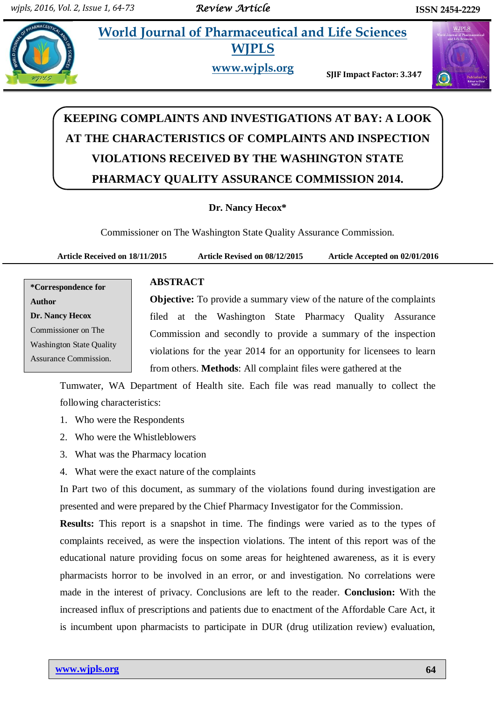**Nancy.****World Journal of Pharmaceutical and Life Sciences World Journal of Pharmaceutical and Life Sciences**



**WJPLS**

**www.wjpls.org SJIF Impact Factor: 3.347**



# **KEEPING COMPLAINTS AND INVESTIGATIONS AT BAY: A LOOK AT THE CHARACTERISTICS OF COMPLAINTS AND INSPECTION VIOLATIONS RECEIVED BY THE WASHINGTON STATE PHARMACY QUALITY ASSURANCE COMMISSION 2014.**

# **Dr. Nancy Hecox\***

Commissioner on The Washington State Quality Assurance Commission.

**Article Received on 18/11/2015 Article Revised on 08/12/2015 Article Accepted on 02/01/2016**

# **ABSTRACT**

**\*Correspondence for Author Dr. Nancy Hecox** Commissioner on The Washington State Quality Assurance Commission.

**Objective:** To provide a summary view of the nature of the complaints filed at the Washington State Pharmacy Quality Assurance Commission and secondly to provide a summary of the inspection violations for the year 2014 for an opportunity for licensees to learn from others. **Methods**: All complaint files were gathered at the

Tumwater, WA Department of Health site. Each file was read manually to collect the following characteristics:

- 1. Who were the Respondents
- 2. Who were the Whistleblowers
- 3. What was the Pharmacy location
- 4. What were the exact nature of the complaints

In Part two of this document, as summary of the violations found during investigation are presented and were prepared by the Chief Pharmacy Investigator for the Commission.

**Results:** This report is a snapshot in time. The findings were varied as to the types of complaints received, as were the inspection violations. The intent of this report was of the educational nature providing focus on some areas for heightened awareness, as it is every pharmacists horror to be involved in an error, or and investigation. No correlations were made in the interest of privacy. Conclusions are left to the reader. **Conclusion:** With the increased influx of prescriptions and patients due to enactment of the Affordable Care Act, it is incumbent upon pharmacists to participate in DUR (drug utilization review) evaluation,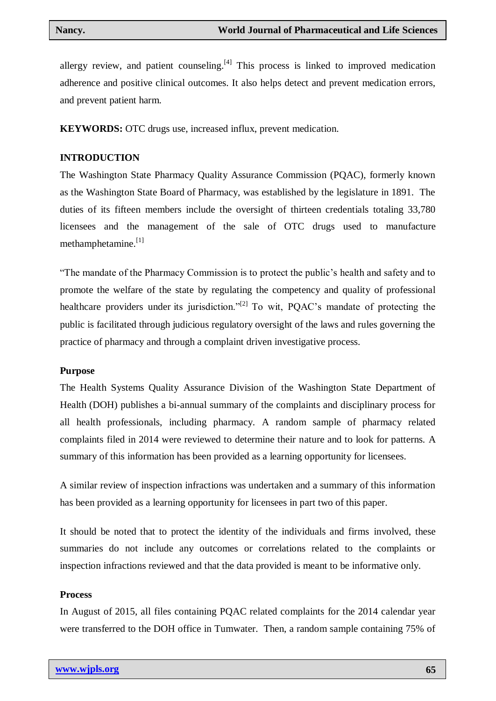allergy review, and patient counseling. $[4]$  This process is linked to improved medication adherence and positive clinical outcomes. It also helps detect and prevent medication errors, and prevent patient harm.

**KEYWORDS:** OTC drugs use, increased influx, prevent medication.

#### **INTRODUCTION**

The Washington State Pharmacy Quality Assurance Commission (PQAC), formerly known as the Washington State Board of Pharmacy, was established by the legislature in 1891. The duties of its fifteen members include the oversight of thirteen credentials totaling 33,780 licensees and the management of the sale of OTC drugs used to manufacture methamphetamine.<sup>[1]</sup>

"The mandate of the Pharmacy Commission is to protect the public's health and safety and to promote the welfare of the state by regulating the competency and quality of professional healthcare providers under its jurisdiction."<sup>[2]</sup> To wit, POAC's mandate of protecting the public is facilitated through judicious regulatory oversight of the laws and rules governing the practice of pharmacy and through a complaint driven investigative process.

#### **Purpose**

The Health Systems Quality Assurance Division of the Washington State Department of Health (DOH) publishes a bi-annual summary of the complaints and disciplinary process for all health professionals, including pharmacy. A random sample of pharmacy related complaints filed in 2014 were reviewed to determine their nature and to look for patterns. A summary of this information has been provided as a learning opportunity for licensees.

A similar review of inspection infractions was undertaken and a summary of this information has been provided as a learning opportunity for licensees in part two of this paper.

It should be noted that to protect the identity of the individuals and firms involved, these summaries do not include any outcomes or correlations related to the complaints or inspection infractions reviewed and that the data provided is meant to be informative only.

#### **Process**

In August of 2015, all files containing PQAC related complaints for the 2014 calendar year were transferred to the DOH office in Tumwater. Then, a random sample containing 75% of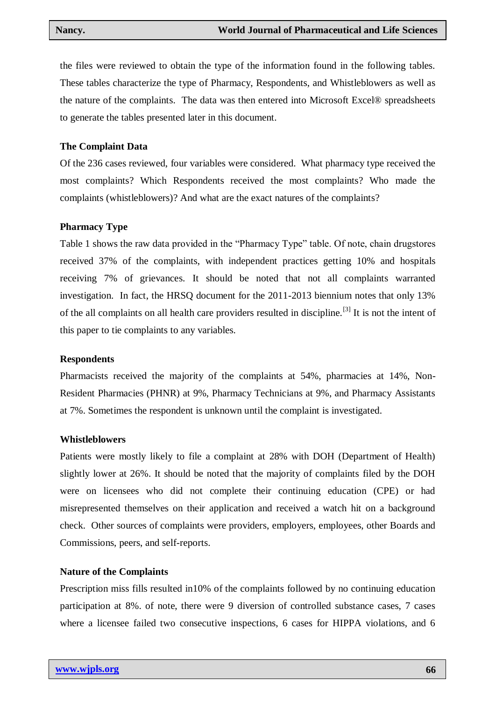the files were reviewed to obtain the type of the information found in the following tables. These tables characterize the type of Pharmacy, Respondents, and Whistleblowers as well as the nature of the complaints. The data was then entered into Microsoft Excel® spreadsheets to generate the tables presented later in this document.

#### **The Complaint Data**

Of the 236 cases reviewed, four variables were considered. What pharmacy type received the most complaints? Which Respondents received the most complaints? Who made the complaints (whistleblowers)? And what are the exact natures of the complaints?

#### **Pharmacy Type**

Table 1 shows the raw data provided in the "Pharmacy Type" table. Of note, chain drugstores received 37% of the complaints, with independent practices getting 10% and hospitals receiving 7% of grievances. It should be noted that not all complaints warranted investigation. In fact, the HRSQ document for the 2011-2013 biennium notes that only 13% of the all complaints on all health care providers resulted in discipline.<sup>[3]</sup> It is not the intent of this paper to tie complaints to any variables.

#### **Respondents**

Pharmacists received the majority of the complaints at 54%, pharmacies at 14%, Non-Resident Pharmacies (PHNR) at 9%, Pharmacy Technicians at 9%, and Pharmacy Assistants at 7%. Sometimes the respondent is unknown until the complaint is investigated.

#### **Whistleblowers**

Patients were mostly likely to file a complaint at 28% with DOH (Department of Health) slightly lower at 26%. It should be noted that the majority of complaints filed by the DOH were on licensees who did not complete their continuing education (CPE) or had misrepresented themselves on their application and received a watch hit on a background check. Other sources of complaints were providers, employers, employees, other Boards and Commissions, peers, and self-reports.

#### **Nature of the Complaints**

Prescription miss fills resulted in10% of the complaints followed by no continuing education participation at 8%. of note, there were 9 diversion of controlled substance cases, 7 cases where a licensee failed two consecutive inspections, 6 cases for HIPPA violations, and 6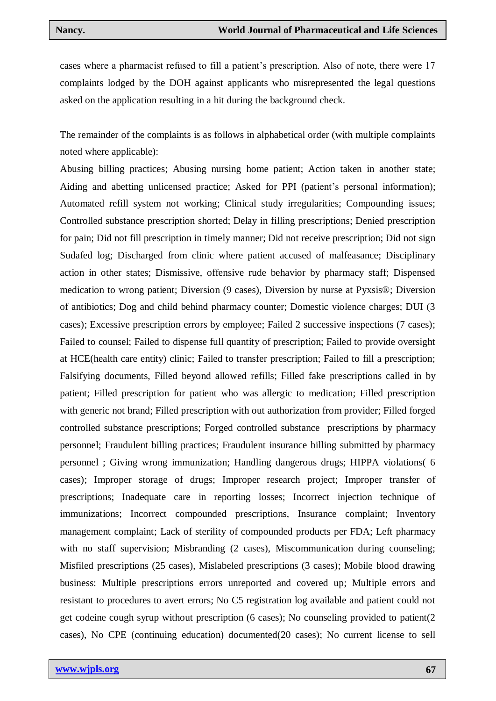cases where a pharmacist refused to fill a patient's prescription. Also of note, there were 17 complaints lodged by the DOH against applicants who misrepresented the legal questions asked on the application resulting in a hit during the background check.

The remainder of the complaints is as follows in alphabetical order (with multiple complaints noted where applicable):

Abusing billing practices; Abusing nursing home patient; Action taken in another state; Aiding and abetting unlicensed practice; Asked for PPI (patient's personal information); Automated refill system not working; Clinical study irregularities; Compounding issues; Controlled substance prescription shorted; Delay in filling prescriptions; Denied prescription for pain; Did not fill prescription in timely manner; Did not receive prescription; Did not sign Sudafed log; Discharged from clinic where patient accused of malfeasance; Disciplinary action in other states; Dismissive, offensive rude behavior by pharmacy staff; Dispensed medication to wrong patient; Diversion (9 cases), Diversion by nurse at Pyxsis®; Diversion of antibiotics; Dog and child behind pharmacy counter; Domestic violence charges; DUI (3 cases); Excessive prescription errors by employee; Failed 2 successive inspections (7 cases); Failed to counsel; Failed to dispense full quantity of prescription; Failed to provide oversight at HCE(health care entity) clinic; Failed to transfer prescription; Failed to fill a prescription; Falsifying documents, Filled beyond allowed refills; Filled fake prescriptions called in by patient; Filled prescription for patient who was allergic to medication; Filled prescription with generic not brand; Filled prescription with out authorization from provider; Filled forged controlled substance prescriptions; Forged controlled substance prescriptions by pharmacy personnel; Fraudulent billing practices; Fraudulent insurance billing submitted by pharmacy personnel ; Giving wrong immunization; Handling dangerous drugs; HIPPA violations( 6 cases); Improper storage of drugs; Improper research project; Improper transfer of prescriptions; Inadequate care in reporting losses; Incorrect injection technique of immunizations; Incorrect compounded prescriptions, Insurance complaint; Inventory management complaint; Lack of sterility of compounded products per FDA; Left pharmacy with no staff supervision; Misbranding (2 cases), Miscommunication during counseling; Misfiled prescriptions (25 cases), Mislabeled prescriptions (3 cases); Mobile blood drawing business: Multiple prescriptions errors unreported and covered up; Multiple errors and resistant to procedures to avert errors; No C5 registration log available and patient could not get codeine cough syrup without prescription (6 cases); No counseling provided to patient(2 cases), No CPE (continuing education) documented(20 cases); No current license to sell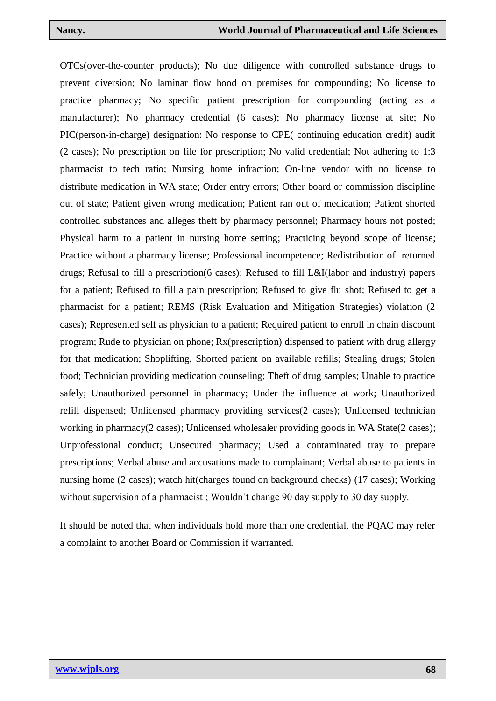OTCs(over-the-counter products); No due diligence with controlled substance drugs to prevent diversion; No laminar flow hood on premises for compounding; No license to practice pharmacy; No specific patient prescription for compounding (acting as a manufacturer); No pharmacy credential (6 cases); No pharmacy license at site; No PIC(person-in-charge) designation: No response to CPE( continuing education credit) audit (2 cases); No prescription on file for prescription; No valid credential; Not adhering to 1:3 pharmacist to tech ratio; Nursing home infraction; On-line vendor with no license to distribute medication in WA state; Order entry errors; Other board or commission discipline out of state; Patient given wrong medication; Patient ran out of medication; Patient shorted controlled substances and alleges theft by pharmacy personnel; Pharmacy hours not posted; Physical harm to a patient in nursing home setting; Practicing beyond scope of license; Practice without a pharmacy license; Professional incompetence; Redistribution of returned drugs; Refusal to fill a prescription(6 cases); Refused to fill L&I(labor and industry) papers for a patient; Refused to fill a pain prescription; Refused to give flu shot; Refused to get a pharmacist for a patient; REMS (Risk Evaluation and Mitigation Strategies) violation (2 cases); Represented self as physician to a patient; Required patient to enroll in chain discount program; Rude to physician on phone; Rx(prescription) dispensed to patient with drug allergy for that medication; Shoplifting, Shorted patient on available refills; Stealing drugs; Stolen food; Technician providing medication counseling; Theft of drug samples; Unable to practice safely; Unauthorized personnel in pharmacy; Under the influence at work; Unauthorized refill dispensed; Unlicensed pharmacy providing services(2 cases); Unlicensed technician working in pharmacy(2 cases); Unlicensed wholesaler providing goods in WA State(2 cases); Unprofessional conduct; Unsecured pharmacy; Used a contaminated tray to prepare prescriptions; Verbal abuse and accusations made to complainant; Verbal abuse to patients in nursing home (2 cases); watch hit(charges found on background checks) (17 cases); Working without supervision of a pharmacist; Wouldn't change 90 day supply to 30 day supply.

It should be noted that when individuals hold more than one credential, the PQAC may refer a complaint to another Board or Commission if warranted.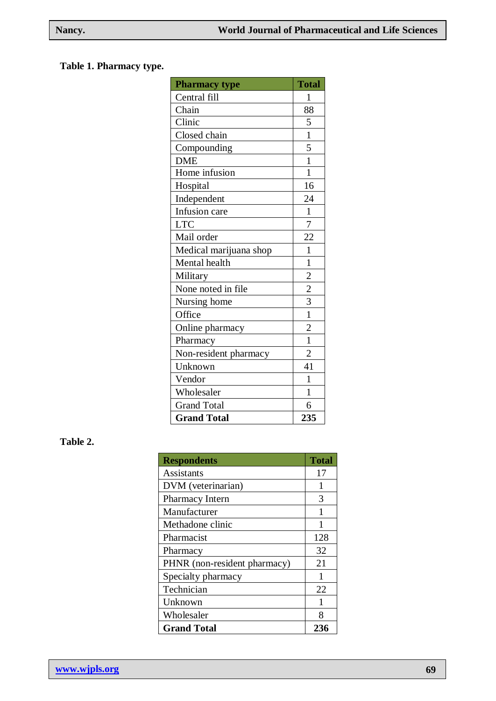# **Table 1. Pharmacy type.**

| <b>Pharmacy type</b>   | <b>Total</b>            |
|------------------------|-------------------------|
| Central fill           | 1                       |
| Chain                  | 88                      |
| Clinic                 | 5                       |
| Closed chain           | $\mathbf{1}$            |
| Compounding            | 5                       |
| <b>DME</b>             | $\mathbf{1}$            |
| Home infusion          | $\overline{1}$          |
| Hospital               | 16                      |
| Independent            | 24                      |
| Infusion care          | $\mathbf{1}$            |
| <b>LTC</b>             | $\overline{7}$          |
| Mail order             | 22                      |
| Medical marijuana shop | $\mathbf{1}$            |
| Mental health          | $\mathbf{1}$            |
| Military               | $\overline{\mathbf{c}}$ |
| None noted in file     | $\overline{2}$          |
| Nursing home           | 3                       |
| Office                 | $\overline{1}$          |
| Online pharmacy        | $\overline{2}$          |
| Pharmacy               | $\overline{1}$          |
| Non-resident pharmacy  | $\overline{2}$          |
| Unknown                | 41                      |
| Vendor                 | $\mathbf{1}$            |
| Wholesaler             | 1                       |
| <b>Grand Total</b>     | 6                       |
| <b>Grand Total</b>     | 235                     |

# **Table 2.**

| <b>Respondents</b>           | <b>Total</b> |
|------------------------------|--------------|
| Assistants                   | 17           |
| DVM (veterinarian)           | 1            |
| Pharmacy Intern              | 3            |
| Manufacturer                 | 1            |
| Methadone clinic             |              |
| Pharmacist                   | 128          |
| Pharmacy                     | 32           |
| PHNR (non-resident pharmacy) | 21           |
| Specialty pharmacy           | 1            |
| Technician                   | 22           |
| Unknown                      | 1            |
| Wholesaler                   | 8            |
| <b>Grand Total</b>           | 236          |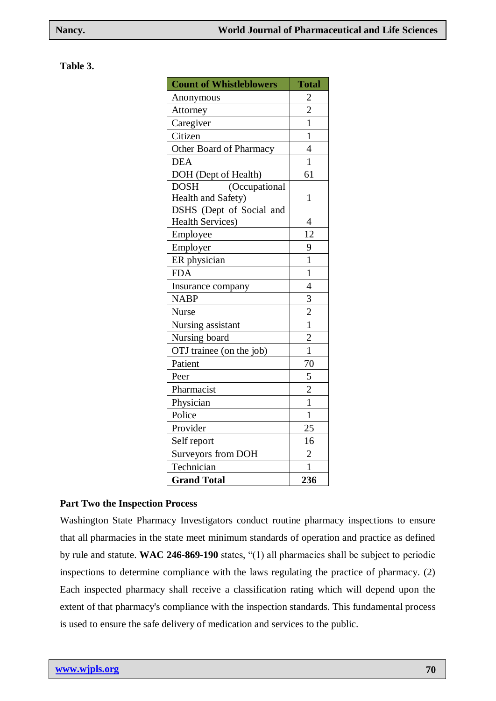#### **Table 3.**

| <b>Count of Whistleblowers</b> | <b>Total</b>            |
|--------------------------------|-------------------------|
| Anonymous                      | $\overline{\mathbf{c}}$ |
| Attorney                       | $\overline{2}$          |
| Caregiver                      | $\mathbf{1}$            |
| Citizen                        | $\mathbf{1}$            |
| Other Board of Pharmacy        | $\overline{4}$          |
| <b>DEA</b>                     | $\mathbf{1}$            |
| DOH (Dept of Health)           | 61                      |
| <b>DOSH</b><br>(Occupational   |                         |
| Health and Safety)             | $\mathbf{1}$            |
| DSHS (Dept of Social and       |                         |
| <b>Health Services)</b>        | $\overline{4}$          |
| Employee                       | 12                      |
| Employer                       | 9                       |
| ER physician                   | $\mathbf{1}$            |
| <b>FDA</b>                     | $\overline{1}$          |
| Insurance company              | $\overline{4}$          |
| <b>NABP</b>                    | $rac{3}{2}$             |
| <b>Nurse</b>                   |                         |
| Nursing assistant              | $\mathbf{1}$            |
| Nursing board                  | $\overline{2}$          |
| OTJ trainee (on the job)       | $\mathbf{1}$            |
| Patient                        | 70                      |
| Peer                           | $\frac{5}{2}$           |
| Pharmacist                     |                         |
| Physician                      | $\overline{1}$          |
| Police                         | $\mathbf{1}$            |
| Provider                       | 25                      |
| Self report                    | 16                      |
| Surveyors from DOH             | $\overline{c}$          |
| Technician                     | 1                       |
| <b>Grand Total</b>             | 236                     |

#### **Part Two the Inspection Process**

Washington State Pharmacy Investigators conduct routine pharmacy inspections to ensure that all pharmacies in the state meet minimum standards of operation and practice as defined by rule and statute. **WAC 246-869-190** states, "(1) all pharmacies shall be subject to periodic inspections to determine compliance with the laws regulating the practice of pharmacy. (2) Each inspected pharmacy shall receive a classification rating which will depend upon the extent of that pharmacy's compliance with the inspection standards. This fundamental process is used to ensure the safe delivery of medication and services to the public.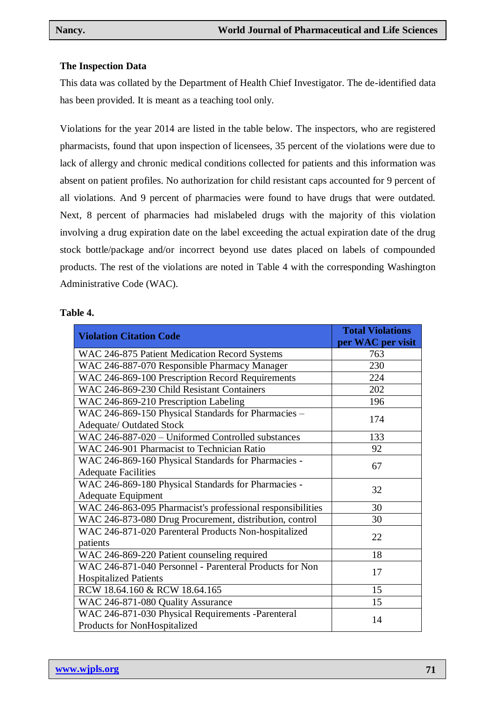# **The Inspection Data**

This data was collated by the Department of Health Chief Investigator. The de-identified data has been provided. It is meant as a teaching tool only.

Violations for the year 2014 are listed in the table below. The inspectors, who are registered pharmacists, found that upon inspection of licensees, 35 percent of the violations were due to lack of allergy and chronic medical conditions collected for patients and this information was absent on patient profiles. No authorization for child resistant caps accounted for 9 percent of all violations. And 9 percent of pharmacies were found to have drugs that were outdated. Next, 8 percent of pharmacies had mislabeled drugs with the majority of this violation involving a drug expiration date on the label exceeding the actual expiration date of the drug stock bottle/package and/or incorrect beyond use dates placed on labels of compounded products. The rest of the violations are noted in Table 4 with the corresponding Washington Administrative Code (WAC).

### **Table 4.**

| <b>Violation Citation Code</b>                                                    | <b>Total Violations</b><br>per WAC per visit |
|-----------------------------------------------------------------------------------|----------------------------------------------|
| WAC 246-875 Patient Medication Record Systems                                     | 763                                          |
| WAC 246-887-070 Responsible Pharmacy Manager                                      | 230                                          |
| WAC 246-869-100 Prescription Record Requirements                                  | 224                                          |
| WAC 246-869-230 Child Resistant Containers                                        | 202                                          |
| WAC 246-869-210 Prescription Labeling                                             | 196                                          |
| WAC 246-869-150 Physical Standards for Pharmacies -                               | 174                                          |
| <b>Adequate/ Outdated Stock</b>                                                   |                                              |
| WAC 246-887-020 - Uniformed Controlled substances                                 | 133                                          |
| WAC 246-901 Pharmacist to Technician Ratio                                        | 92                                           |
| WAC 246-869-160 Physical Standards for Pharmacies -                               | 67                                           |
| <b>Adequate Facilities</b>                                                        |                                              |
| WAC 246-869-180 Physical Standards for Pharmacies -                               | 32                                           |
| <b>Adequate Equipment</b>                                                         |                                              |
| WAC 246-863-095 Pharmacist's professional responsibilities                        | 30                                           |
| WAC 246-873-080 Drug Procurement, distribution, control                           | 30                                           |
| WAC 246-871-020 Parenteral Products Non-hospitalized                              | 22                                           |
| patients                                                                          |                                              |
| WAC 246-869-220 Patient counseling required                                       | 18                                           |
| WAC 246-871-040 Personnel - Parenteral Products for Non                           | 17                                           |
| <b>Hospitalized Patients</b>                                                      |                                              |
| RCW 18.64.160 & RCW 18.64.165                                                     | 15                                           |
| WAC 246-871-080 Quality Assurance                                                 | 15                                           |
| WAC 246-871-030 Physical Requirements -Parenteral<br>Products for NonHospitalized | 14                                           |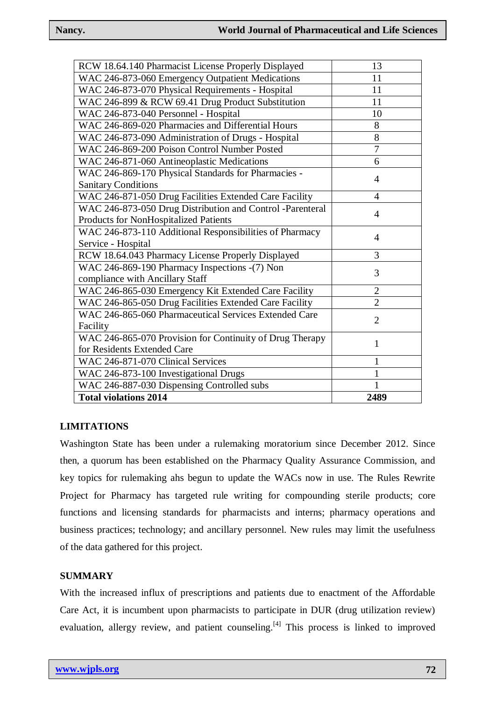| RCW 18.64.140 Pharmacist License Properly Displayed       | 13             |
|-----------------------------------------------------------|----------------|
| WAC 246-873-060 Emergency Outpatient Medications          | 11             |
| WAC 246-873-070 Physical Requirements - Hospital          | 11             |
| WAC 246-899 & RCW 69.41 Drug Product Substitution         | 11             |
| WAC 246-873-040 Personnel - Hospital                      | 10             |
| WAC 246-869-020 Pharmacies and Differential Hours         | 8              |
| WAC 246-873-090 Administration of Drugs - Hospital        | 8              |
| WAC 246-869-200 Poison Control Number Posted              | 7              |
| WAC 246-871-060 Antineoplastic Medications                | 6              |
| WAC 246-869-170 Physical Standards for Pharmacies -       | 4              |
| <b>Sanitary Conditions</b>                                |                |
| WAC 246-871-050 Drug Facilities Extended Care Facility    | $\overline{4}$ |
| WAC 246-873-050 Drug Distribution and Control -Parenteral | 4              |
| Products for NonHospitalized Patients                     |                |
| WAC 246-873-110 Additional Responsibilities of Pharmacy   | 4              |
| Service - Hospital                                        |                |
| RCW 18.64.043 Pharmacy License Properly Displayed         | 3              |
| WAC 246-869-190 Pharmacy Inspections -(7) Non             | 3              |
| compliance with Ancillary Staff                           |                |
| WAC 246-865-030 Emergency Kit Extended Care Facility      | 2              |
| WAC 246-865-050 Drug Facilities Extended Care Facility    | $\overline{2}$ |
| WAC 246-865-060 Pharmaceutical Services Extended Care     | $\overline{2}$ |
| Facility                                                  |                |
| WAC 246-865-070 Provision for Continuity of Drug Therapy  | 1              |
| for Residents Extended Care                               |                |
| WAC 246-871-070 Clinical Services                         | 1              |
| WAC 246-873-100 Investigational Drugs                     | 1              |
| WAC 246-887-030 Dispensing Controlled subs                | $\mathbf{1}$   |
| <b>Total violations 2014</b>                              | 2489           |

# **LIMITATIONS**

Washington State has been under a rulemaking moratorium since December 2012. Since then, a quorum has been established on the Pharmacy Quality Assurance Commission, and key topics for rulemaking ahs begun to update the WACs now in use. The Rules Rewrite Project for Pharmacy has targeted rule writing for compounding sterile products; core functions and licensing standards for pharmacists and interns; pharmacy operations and business practices; technology; and ancillary personnel. New rules may limit the usefulness of the data gathered for this project.

# **SUMMARY**

With the increased influx of prescriptions and patients due to enactment of the Affordable Care Act, it is incumbent upon pharmacists to participate in DUR (drug utilization review) evaluation, allergy review, and patient counseling.<sup>[4]</sup> This process is linked to improved